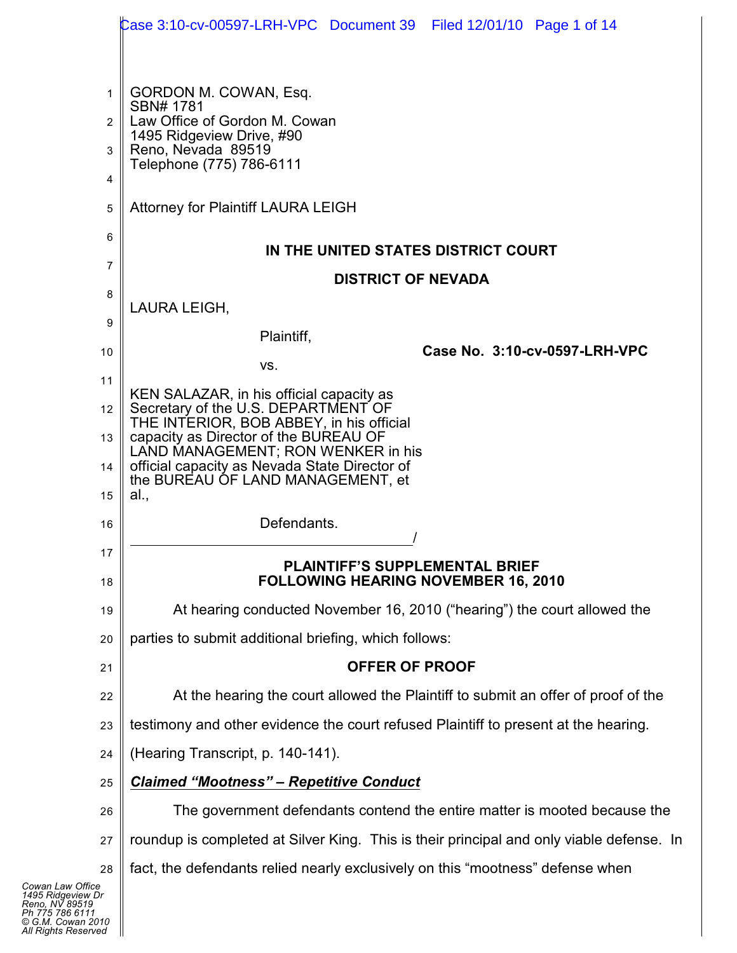|                | Case 3:10-cv-00597-LRH-VPC Document 39 Filed 12/01/10 Page 1 of 14                       |  |  |  |  |
|----------------|------------------------------------------------------------------------------------------|--|--|--|--|
| 1              | GORDON M. COWAN, Esq.<br>SBN# 1781                                                       |  |  |  |  |
| $\overline{2}$ | Law Office of Gordon M. Cowan<br>1495 Ridgeview Drive, #90                               |  |  |  |  |
| 3              | Reno, Nevada 89519<br>Telephone (775) 786-6111                                           |  |  |  |  |
| 4              |                                                                                          |  |  |  |  |
| 5              | <b>Attorney for Plaintiff LAURA LEIGH</b>                                                |  |  |  |  |
| 6              | IN THE UNITED STATES DISTRICT COURT                                                      |  |  |  |  |
| 7              | <b>DISTRICT OF NEVADA</b>                                                                |  |  |  |  |
| 8              | LAURA LEIGH,                                                                             |  |  |  |  |
| 9              | Plaintiff,                                                                               |  |  |  |  |
| 10             | Case No. 3:10-cv-0597-LRH-VPC<br>VS.                                                     |  |  |  |  |
| 11             |                                                                                          |  |  |  |  |
| 12             | KEN SALAZAR, in his official capacity as<br>Secretary of the U.S. DEPARTMENT OF          |  |  |  |  |
| 13             | THE INTERIOR, BOB ABBEY, in his official<br>capacity as Director of the BUREAU OF        |  |  |  |  |
| 14             | LAND MANAGEMENT; RON WENKER in his<br>official capacity as Nevada State Director of      |  |  |  |  |
| 15             | the BUREAU OF LAND MANAGEMENT, et<br>al.,                                                |  |  |  |  |
| 16             | Defendants.                                                                              |  |  |  |  |
| 17             | <b>PLAINTIFF'S SUPPLEMENTAL BRIEF</b>                                                    |  |  |  |  |
| 18             | <b>FOLLOWING HEARING NOVEMBER 16, 2010</b>                                               |  |  |  |  |
| 19             | At hearing conducted November 16, 2010 ("hearing") the court allowed the                 |  |  |  |  |
| 20             | parties to submit additional briefing, which follows:                                    |  |  |  |  |
| 21             | <b>OFFER OF PROOF</b>                                                                    |  |  |  |  |
| 22             | At the hearing the court allowed the Plaintiff to submit an offer of proof of the        |  |  |  |  |
| 23             | testimony and other evidence the court refused Plaintiff to present at the hearing.      |  |  |  |  |
| 24             | (Hearing Transcript, p. 140-141).                                                        |  |  |  |  |
| 25             | <b>Claimed "Mootness" - Repetitive Conduct</b>                                           |  |  |  |  |
| 26             | The government defendants contend the entire matter is mooted because the                |  |  |  |  |
| 27             | roundup is completed at Silver King. This is their principal and only viable defense. In |  |  |  |  |
| 28             | fact, the defendants relied nearly exclusively on this "mootness" defense when           |  |  |  |  |
| e<br>Dr        |                                                                                          |  |  |  |  |

*Cowan Law Office 1495 Ridgeview Dr Reno, NV 89519 Ph 775 786 6111 © G.M. Cowan 2010 All Rights Reserved*

 $\parallel$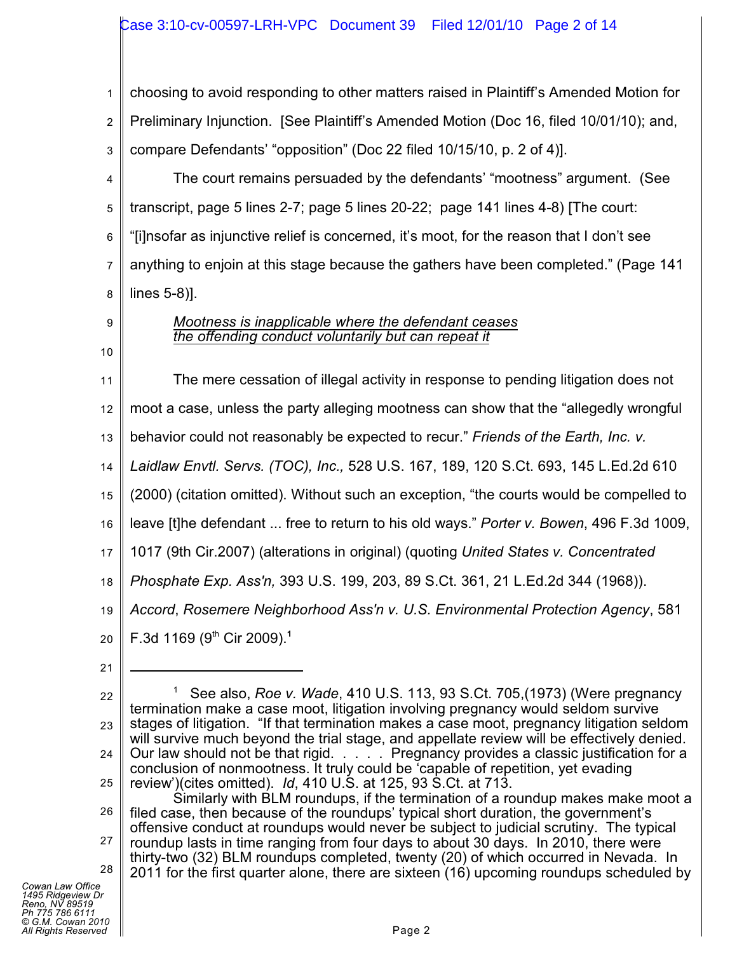## Case 3:10-cv-00597-LRH-VPC Document 39 Filed 12/01/10 Page 2 of 14

1 2 3 choosing to avoid responding to other matters raised in Plaintiff's Amended Motion for Preliminary Injunction. [See Plaintiff's Amended Motion (Doc 16, filed 10/01/10); and, compare Defendants' "opposition" (Doc 22 filed 10/15/10, p. 2 of 4)].

4 5 6 7 8 The court remains persuaded by the defendants' "mootness" argument. (See transcript, page 5 lines 2-7; page 5 lines 20-22; page 141 lines 4-8) [The court: "[i]nsofar as injunctive relief is concerned, it's moot, for the reason that I don't see anything to enjoin at this stage because the gathers have been completed." (Page 141 lines 5-8)].

- 9
- 10

*Mootness is inapplicable where the defendant ceases the offending conduct voluntarily but can repeat it*

11 The mere cessation of illegal activity in response to pending litigation does not

12 moot a case, unless the party alleging mootness can show that the "allegedly wrongful

13 behavior could not reasonably be expected to recur." *Friends of the Earth, Inc. v.*

14 *Laidlaw Envtl. Servs. (TOC), Inc.,* 528 U.S. 167, 189, 120 S.Ct. 693, 145 L.Ed.2d 610

15 (2000) (citation omitted). Without such an exception, "the courts would be compelled to

16 leave [t]he defendant ... free to return to his old ways." *Porter v. Bowen*, 496 F.3d 1009,

17 1017 (9th Cir.2007) (alterations in original) (quoting *United States v. Concentrated*

18 *Phosphate Exp. Ass'n,* 393 U.S. 199, 203, 89 S.Ct. 361, 21 L.Ed.2d 344 (1968)).

19 *Accord*, *Rosemere Neighborhood Ass'n v. U.S. Environmental Protection Agency*, 581

20 F.3d 1169 (9<sup>th</sup> Cir 2009).<sup>1</sup>

21

22 23 24 25 See also, *Roe v. Wade*, 410 U.S. 113, 93 S.Ct. 705,(1973) (Were pregnancy <sup>1</sup> termination make a case moot, litigation involving pregnancy would seldom survive stages of litigation. "If that termination makes a case moot, pregnancy litigation seldom will survive much beyond the trial stage, and appellate review will be effectively denied. Our law should not be that rigid. . . . . Pregnancy provides a classic justification for a conclusion of nonmootness. It truly could be 'capable of repetition, yet evading review')(cites omitted). *Id*, 410 U.S. at 125, 93 S.Ct. at 713.

26 27 28 Similarly with BLM roundups, if the termination of a roundup makes make moot a filed case, then because of the roundups' typical short duration, the government's offensive conduct at roundups would never be subject to judicial scrutiny. The typical roundup lasts in time ranging from four days to about 30 days. In 2010, there were thirty-two (32) BLM roundups completed, twenty (20) of which occurred in Nevada. In 2011 for the first quarter alone, there are sixteen (16) upcoming roundups scheduled by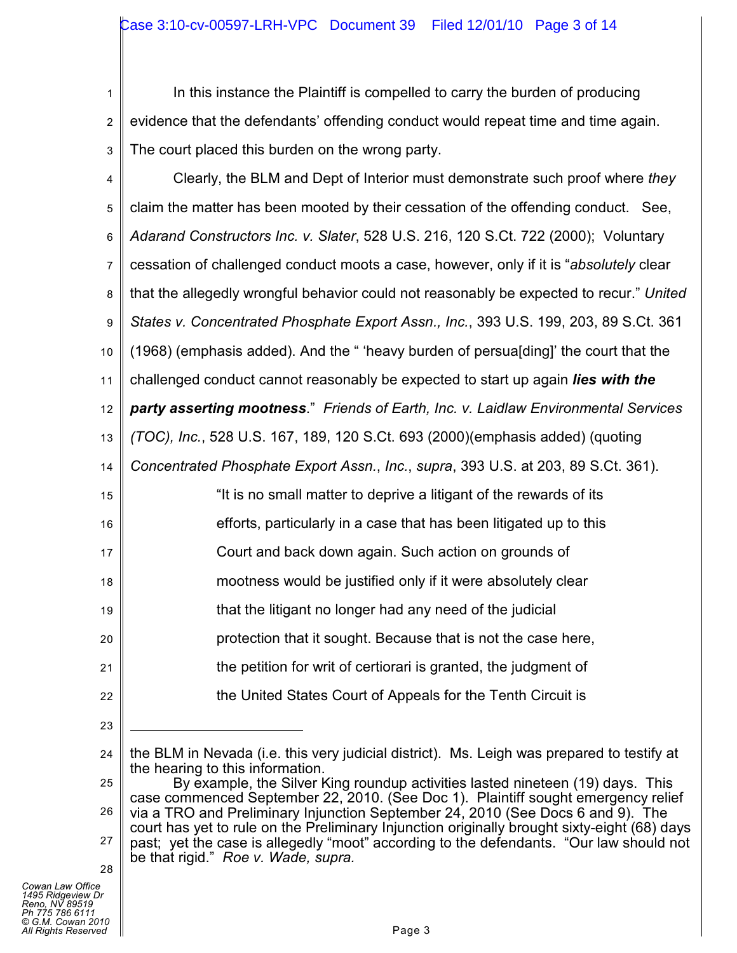1 2 3 In this instance the Plaintiff is compelled to carry the burden of producing evidence that the defendants' offending conduct would repeat time and time again. The court placed this burden on the wrong party.

4 5 6 7 8 9 10 11 12 13 14 15 16 17 18 19 20 21 22 Clearly, the BLM and Dept of Interior must demonstrate such proof where *they* claim the matter has been mooted by their cessation of the offending conduct. See, *Adarand Constructors Inc. v. Slater*, 528 U.S. 216, 120 S.Ct. 722 (2000); Voluntary cessation of challenged conduct moots a case, however, only if it is "*absolutely* clear that the allegedly wrongful behavior could not reasonably be expected to recur." *United States v. Concentrated Phosphate Export Assn., Inc.*, 393 U.S. 199, 203, 89 S.Ct. 361 (1968) (emphasis added). And the " 'heavy burden of persua[ding]' the court that the challenged conduct cannot reasonably be expected to start up again *lies with the party asserting mootness*." *Friends of Earth, Inc. v. Laidlaw Environmental Services (TOC), Inc.*, 528 U.S. 167, 189, 120 S.Ct. 693 (2000)(emphasis added) (quoting *Concentrated Phosphate Export Assn.*, *Inc.*, *supra*, 393 U.S. at 203, 89 S.Ct. 361). "It is no small matter to deprive a litigant of the rewards of its efforts, particularly in a case that has been litigated up to this Court and back down again. Such action on grounds of mootness would be justified only if it were absolutely clear that the litigant no longer had any need of the judicial protection that it sought. Because that is not the case here, the petition for writ of certiorari is granted, the judgment of the United States Court of Appeals for the Tenth Circuit is

*Cowan Law Office 1495 Ridgeview Dr Reno, NV 89519 Ph 775 786 6111 © G.M. Cowan 2010 All Rights Reserved* Page 3

23

<sup>24</sup> the BLM in Nevada (i.e. this very judicial district). Ms. Leigh was prepared to testify at the hearing to this information.

<sup>25</sup> 26 27 28 By example, the Silver King roundup activities lasted nineteen (19) days. This case commenced September 22, 2010. (See Doc 1). Plaintiff sought emergency relief via a TRO and Preliminary Injunction September 24, 2010 (See Docs 6 and 9). The court has yet to rule on the Preliminary Injunction originally brought sixty-eight (68) days past; yet the case is allegedly "moot" according to the defendants. "Our law should not be that rigid." *Roe v. Wade, supra.*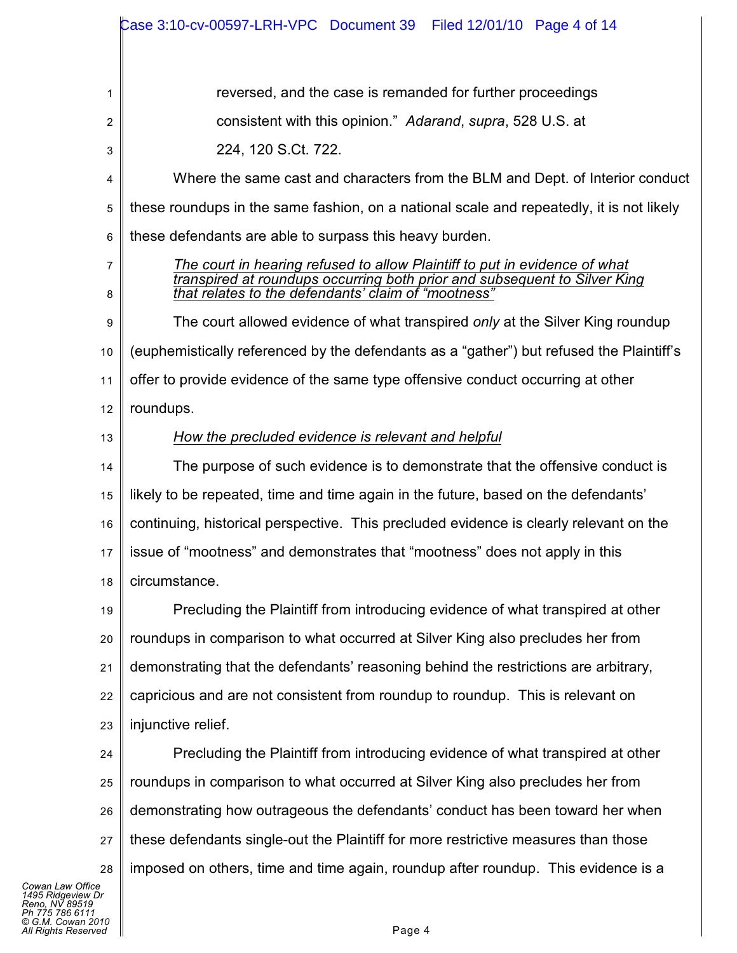|                                                                                                                        | Case 3:10-cv-00597-LRH-VPC Document 39    Filed 12/01/10    Page 4 of 14                                                                                                                                       |  |  |  |  |
|------------------------------------------------------------------------------------------------------------------------|----------------------------------------------------------------------------------------------------------------------------------------------------------------------------------------------------------------|--|--|--|--|
|                                                                                                                        |                                                                                                                                                                                                                |  |  |  |  |
| 1                                                                                                                      | reversed, and the case is remanded for further proceedings                                                                                                                                                     |  |  |  |  |
| 2                                                                                                                      | consistent with this opinion." Adarand, supra, 528 U.S. at                                                                                                                                                     |  |  |  |  |
| 3                                                                                                                      | 224, 120 S.Ct. 722.                                                                                                                                                                                            |  |  |  |  |
| 4                                                                                                                      | Where the same cast and characters from the BLM and Dept. of Interior conduct                                                                                                                                  |  |  |  |  |
| 5                                                                                                                      | these roundups in the same fashion, on a national scale and repeatedly, it is not likely                                                                                                                       |  |  |  |  |
| 6                                                                                                                      | these defendants are able to surpass this heavy burden.                                                                                                                                                        |  |  |  |  |
| 7<br>8                                                                                                                 | The court in hearing refused to allow Plaintiff to put in evidence of what<br>transpired at roundups occurring both prior and subsequent to Silver King<br>that relates to the defendants' claim of "mootness" |  |  |  |  |
| 9                                                                                                                      | The court allowed evidence of what transpired only at the Silver King roundup                                                                                                                                  |  |  |  |  |
| 10                                                                                                                     | (euphemistically referenced by the defendants as a "gather") but refused the Plaintiff's                                                                                                                       |  |  |  |  |
| 11                                                                                                                     | offer to provide evidence of the same type offensive conduct occurring at other                                                                                                                                |  |  |  |  |
| 12                                                                                                                     | roundups.                                                                                                                                                                                                      |  |  |  |  |
| 13                                                                                                                     | How the precluded evidence is relevant and helpful                                                                                                                                                             |  |  |  |  |
| 14                                                                                                                     | The purpose of such evidence is to demonstrate that the offensive conduct is                                                                                                                                   |  |  |  |  |
| 15                                                                                                                     | likely to be repeated, time and time again in the future, based on the defendants'                                                                                                                             |  |  |  |  |
| 16                                                                                                                     | continuing, historical perspective. This precluded evidence is clearly relevant on the                                                                                                                         |  |  |  |  |
| 17                                                                                                                     | issue of "mootness" and demonstrates that "mootness" does not apply in this                                                                                                                                    |  |  |  |  |
| 18                                                                                                                     | circumstance.                                                                                                                                                                                                  |  |  |  |  |
| 19                                                                                                                     | Precluding the Plaintiff from introducing evidence of what transpired at other                                                                                                                                 |  |  |  |  |
| 20                                                                                                                     | roundups in comparison to what occurred at Silver King also precludes her from                                                                                                                                 |  |  |  |  |
| 21                                                                                                                     | demonstrating that the defendants' reasoning behind the restrictions are arbitrary,                                                                                                                            |  |  |  |  |
| 22                                                                                                                     | capricious and are not consistent from roundup to roundup. This is relevant on                                                                                                                                 |  |  |  |  |
| 23                                                                                                                     | injunctive relief.                                                                                                                                                                                             |  |  |  |  |
| 24                                                                                                                     | Precluding the Plaintiff from introducing evidence of what transpired at other                                                                                                                                 |  |  |  |  |
| 25                                                                                                                     | roundups in comparison to what occurred at Silver King also precludes her from                                                                                                                                 |  |  |  |  |
| 26                                                                                                                     | demonstrating how outrageous the defendants' conduct has been toward her when                                                                                                                                  |  |  |  |  |
| 27                                                                                                                     | these defendants single-out the Plaintiff for more restrictive measures than those                                                                                                                             |  |  |  |  |
| 28                                                                                                                     | imposed on others, time and time again, roundup after roundup. This evidence is a                                                                                                                              |  |  |  |  |
| Cowan Law Office<br>1495 Ridgeview Dr<br>Reno. NV 89519<br>Ph 775 786 6111<br>© G.M. Cowan 2010<br>All Rights Reserved | Page 4                                                                                                                                                                                                         |  |  |  |  |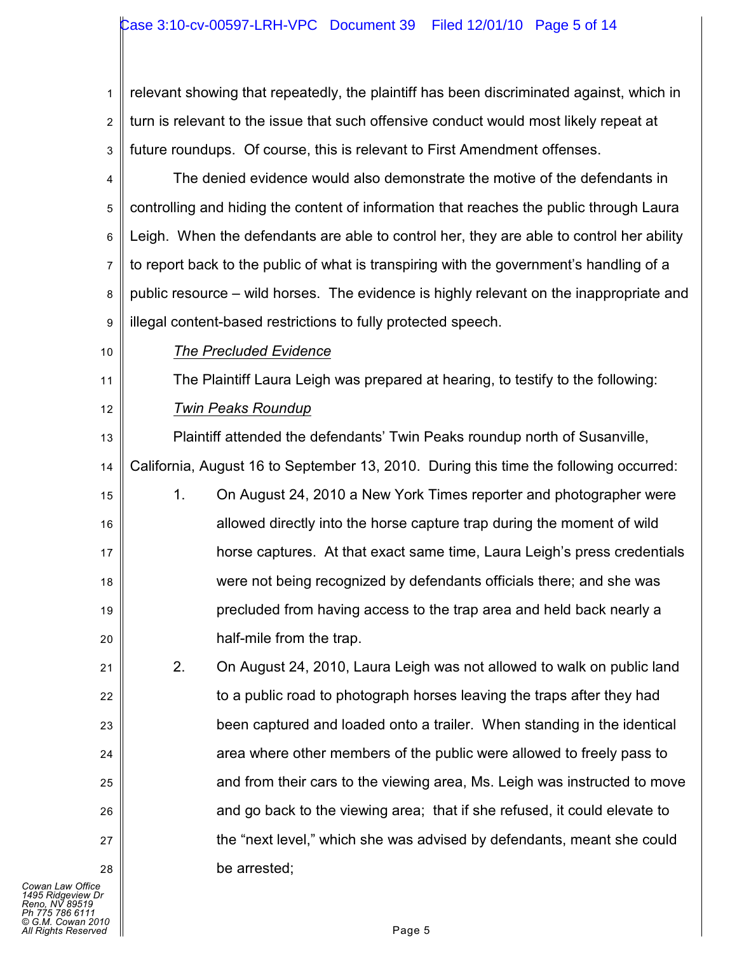## Case 3:10-cv-00597-LRH-VPC Document 39 Filed 12/01/10 Page 5 of 14

1 2 3 relevant showing that repeatedly, the plaintiff has been discriminated against, which in turn is relevant to the issue that such offensive conduct would most likely repeat at future roundups. Of course, this is relevant to First Amendment offenses.

4 5 6 7 8 9 The denied evidence would also demonstrate the motive of the defendants in controlling and hiding the content of information that reaches the public through Laura Leigh. When the defendants are able to control her, they are able to control her ability to report back to the public of what is transpiring with the government's handling of a public resource – wild horses. The evidence is highly relevant on the inappropriate and illegal content-based restrictions to fully protected speech.

10

21

22

23

24

25

26

27

28

*The Precluded Evidence*

11 12 The Plaintiff Laura Leigh was prepared at hearing, to testify to the following: *Twin Peaks Roundup*

13 14 15 16 17 18 19 20 Plaintiff attended the defendants' Twin Peaks roundup north of Susanville, California, August 16 to September 13, 2010. During this time the following occurred: 1. On August 24, 2010 a New York Times reporter and photographer were allowed directly into the horse capture trap during the moment of wild horse captures. At that exact same time, Laura Leigh's press credentials were not being recognized by defendants officials there; and she was precluded from having access to the trap area and held back nearly a half-mile from the trap.

2. On August 24, 2010, Laura Leigh was not allowed to walk on public land to a public road to photograph horses leaving the traps after they had been captured and loaded onto a trailer. When standing in the identical area where other members of the public were allowed to freely pass to and from their cars to the viewing area, Ms. Leigh was instructed to move and go back to the viewing area; that if she refused, it could elevate to the "next level," which she was advised by defendants, meant she could be arrested;

*Cowan Law Office 1495 Ridgeview Dr Reno, NV 89519 Ph 775 786 6111 © G.M. Cowan 2010 All Rights Reserved* Page 5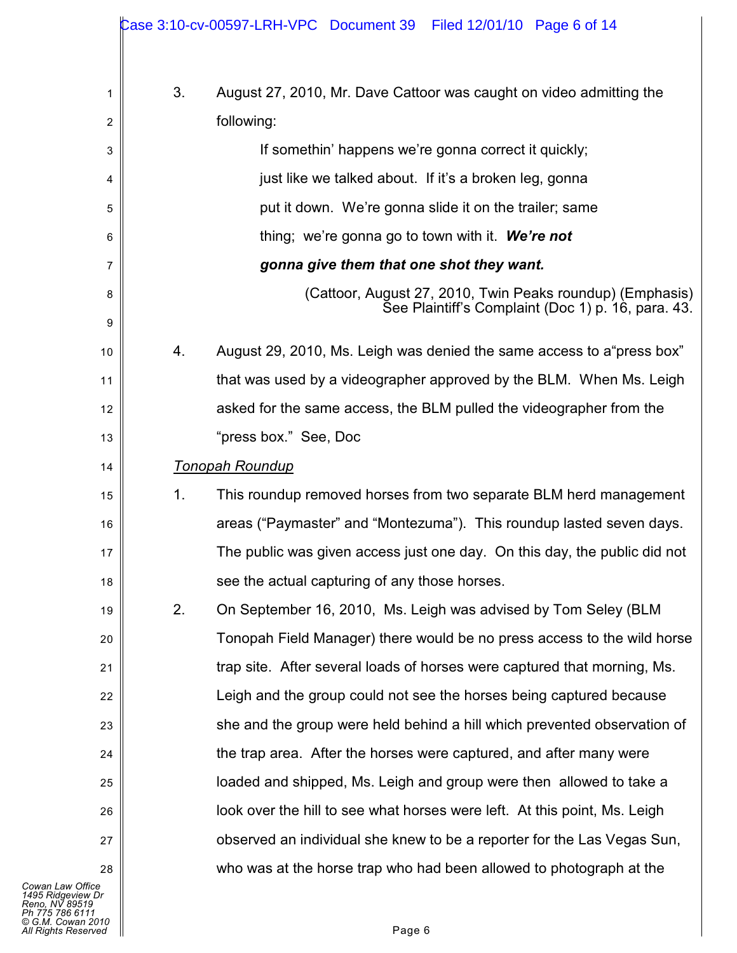|         |    | Case 3:10-cv-00597-LRH-VPC Document 39 Filed 12/01/10 Page 6 of 14                                              |
|---------|----|-----------------------------------------------------------------------------------------------------------------|
| 1       | 3. | August 27, 2010, Mr. Dave Cattoor was caught on video admitting the                                             |
| 2       |    | following:                                                                                                      |
| 3       |    | If somethin' happens we're gonna correct it quickly;                                                            |
| 4       |    | just like we talked about. If it's a broken leg, gonna                                                          |
| 5       |    | put it down. We're gonna slide it on the trailer; same                                                          |
| 6       |    | thing; we're gonna go to town with it. We're not                                                                |
| 7       |    | gonna give them that one shot they want.                                                                        |
| 8<br>9  |    | (Cattoor, August 27, 2010, Twin Peaks roundup) (Emphasis)<br>See Plaintiff's Complaint (Doc 1) p. 16, para. 43. |
| 10      | 4. | August 29, 2010, Ms. Leigh was denied the same access to a "press box"                                          |
| 11      |    | that was used by a videographer approved by the BLM. When Ms. Leigh                                             |
| 12      |    | asked for the same access, the BLM pulled the videographer from the                                             |
| 13      |    | "press box." See, Doc                                                                                           |
| 14      |    | <b>Tonopah Roundup</b>                                                                                          |
| 15      | 1. | This roundup removed horses from two separate BLM herd management                                               |
| 16      |    | areas ("Paymaster" and "Montezuma"). This roundup lasted seven days.                                            |
| 17      |    | The public was given access just one day. On this day, the public did not                                       |
| 18      |    | see the actual capturing of any those horses.                                                                   |
| 19      | 2. | On September 16, 2010, Ms. Leigh was advised by Tom Seley (BLM                                                  |
| 20      |    | Tonopah Field Manager) there would be no press access to the wild horse                                         |
| 21      |    | trap site. After several loads of horses were captured that morning, Ms.                                        |
| 22      |    | Leigh and the group could not see the horses being captured because                                             |
| 23      |    | she and the group were held behind a hill which prevented observation of                                        |
| 24      |    | the trap area. After the horses were captured, and after many were                                              |
| 25      |    | loaded and shipped, Ms. Leigh and group were then allowed to take a                                             |
| 26      |    | look over the hill to see what horses were left. At this point, Ms. Leigh                                       |
| 27      |    | observed an individual she knew to be a reporter for the Las Vegas Sun,                                         |
| 28<br>е |    | who was at the horse trap who had been allowed to photograph at the                                             |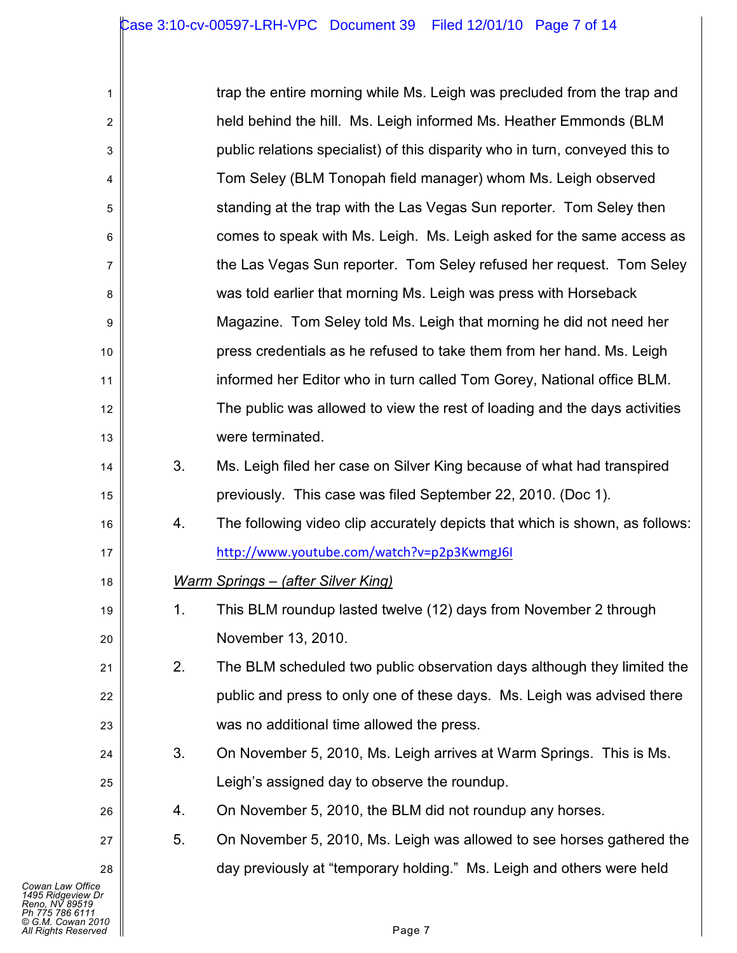| 1                                                                                                                      | trap the entire morning while Ms. Leigh was precluded from the trap and |                                                                              |  |  |  |  |
|------------------------------------------------------------------------------------------------------------------------|-------------------------------------------------------------------------|------------------------------------------------------------------------------|--|--|--|--|
| 2                                                                                                                      |                                                                         | held behind the hill. Ms. Leigh informed Ms. Heather Emmonds (BLM            |  |  |  |  |
| 3                                                                                                                      |                                                                         | public relations specialist) of this disparity who in turn, conveyed this to |  |  |  |  |
| 4                                                                                                                      |                                                                         | Tom Seley (BLM Tonopah field manager) whom Ms. Leigh observed                |  |  |  |  |
| 5                                                                                                                      |                                                                         | standing at the trap with the Las Vegas Sun reporter. Tom Seley then         |  |  |  |  |
| 6                                                                                                                      |                                                                         | comes to speak with Ms. Leigh. Ms. Leigh asked for the same access as        |  |  |  |  |
| 7                                                                                                                      |                                                                         | the Las Vegas Sun reporter. Tom Seley refused her request. Tom Seley         |  |  |  |  |
| 8                                                                                                                      |                                                                         | was told earlier that morning Ms. Leigh was press with Horseback             |  |  |  |  |
| 9                                                                                                                      |                                                                         | Magazine. Tom Seley told Ms. Leigh that morning he did not need her          |  |  |  |  |
| $10$                                                                                                                   |                                                                         | press credentials as he refused to take them from her hand. Ms. Leigh        |  |  |  |  |
| 11                                                                                                                     |                                                                         | informed her Editor who in turn called Tom Gorey, National office BLM.       |  |  |  |  |
| 12                                                                                                                     |                                                                         | The public was allowed to view the rest of loading and the days activities   |  |  |  |  |
| 13                                                                                                                     |                                                                         | were terminated.                                                             |  |  |  |  |
| 14                                                                                                                     | 3.                                                                      | Ms. Leigh filed her case on Silver King because of what had transpired       |  |  |  |  |
| 15                                                                                                                     |                                                                         | previously. This case was filed September 22, 2010. (Doc 1).                 |  |  |  |  |
| 16                                                                                                                     | 4.                                                                      | The following video clip accurately depicts that which is shown, as follows: |  |  |  |  |
| 17                                                                                                                     |                                                                         | http://www.youtube.com/watch?v=p2p3KwmgJ6I                                   |  |  |  |  |
| 18                                                                                                                     |                                                                         | <b>Warm Springs - (after Silver King)</b>                                    |  |  |  |  |
| 19                                                                                                                     | 1.                                                                      | This BLM roundup lasted twelve (12) days from November 2 through             |  |  |  |  |
| 20                                                                                                                     |                                                                         | November 13, 2010.                                                           |  |  |  |  |
| 21                                                                                                                     | 2.                                                                      | The BLM scheduled two public observation days although they limited the      |  |  |  |  |
| 22                                                                                                                     |                                                                         | public and press to only one of these days. Ms. Leigh was advised there      |  |  |  |  |
| 23                                                                                                                     |                                                                         | was no additional time allowed the press.                                    |  |  |  |  |
| 24                                                                                                                     | 3.                                                                      | On November 5, 2010, Ms. Leigh arrives at Warm Springs. This is Ms.          |  |  |  |  |
| 25                                                                                                                     |                                                                         | Leigh's assigned day to observe the roundup.                                 |  |  |  |  |
| 26                                                                                                                     | 4.                                                                      | On November 5, 2010, the BLM did not roundup any horses.                     |  |  |  |  |
| 27                                                                                                                     | 5.                                                                      | On November 5, 2010, Ms. Leigh was allowed to see horses gathered the        |  |  |  |  |
| 28                                                                                                                     |                                                                         | day previously at "temporary holding." Ms. Leigh and others were held        |  |  |  |  |
| Cowan Law Office<br>1495 Ridgeview Dr<br>Reno. NV 89519<br>Ph 775 786 6111<br>© G.M. Cowan 2010<br>All Rights Reserved |                                                                         | Page 7                                                                       |  |  |  |  |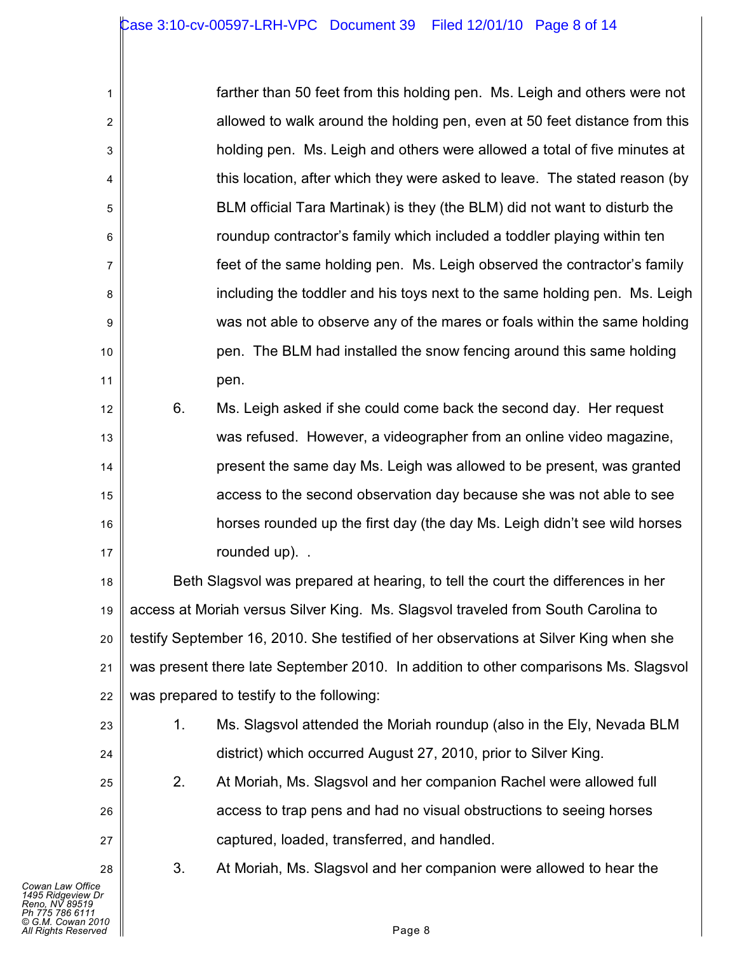| 1                |    | farther than 50 feet from this holding pen. Ms. Leigh and others were not  |
|------------------|----|----------------------------------------------------------------------------|
| $\overline{2}$   |    | allowed to walk around the holding pen, even at 50 feet distance from this |
| $\mathsf 3$      |    | holding pen. Ms. Leigh and others were allowed a total of five minutes at  |
| 4                |    | this location, after which they were asked to leave. The stated reason (by |
| 5                |    | BLM official Tara Martinak) is they (the BLM) did not want to disturb the  |
| $\,6\,$          |    | roundup contractor's family which included a toddler playing within ten    |
| 7                |    | feet of the same holding pen. Ms. Leigh observed the contractor's family   |
| 8                |    | including the toddler and his toys next to the same holding pen. Ms. Leigh |
| $\boldsymbol{9}$ |    | was not able to observe any of the mares or foals within the same holding  |
| 10               |    | pen. The BLM had installed the snow fencing around this same holding       |
| 11               |    | pen.                                                                       |
| 12               | 6. | Ms. Leigh asked if she could come back the second day. Her request         |
| 13               |    | was refused. However, a videographer from an online video magazine,        |
| 14               |    | present the same day Ms. Leigh was allowed to be present, was granted      |
| 15               |    | access to the second observation day because she was not able to see       |
| 16               |    | horses rounded up the first day (the day Ms. Leigh didn't see wild horses  |

rounded up). .

18 19 20 21 22 Beth Slagsvol was prepared at hearing, to tell the court the differences in her access at Moriah versus Silver King. Ms. Slagsvol traveled from South Carolina to testify September 16, 2010. She testified of her observations at Silver King when she was present there late September 2010. In addition to other comparisons Ms. Slagsvol was prepared to testify to the following:

- 1. Ms. Slagsvol attended the Moriah roundup (also in the Ely, Nevada BLM district) which occurred August 27, 2010, prior to Silver King.
- 2. At Moriah, Ms. Slagsvol and her companion Rachel were allowed full access to trap pens and had no visual obstructions to seeing horses captured, loaded, transferred, and handled.

3. At Moriah, Ms. Slagsvol and her companion were allowed to hear the

17

23

24

25

26

27

28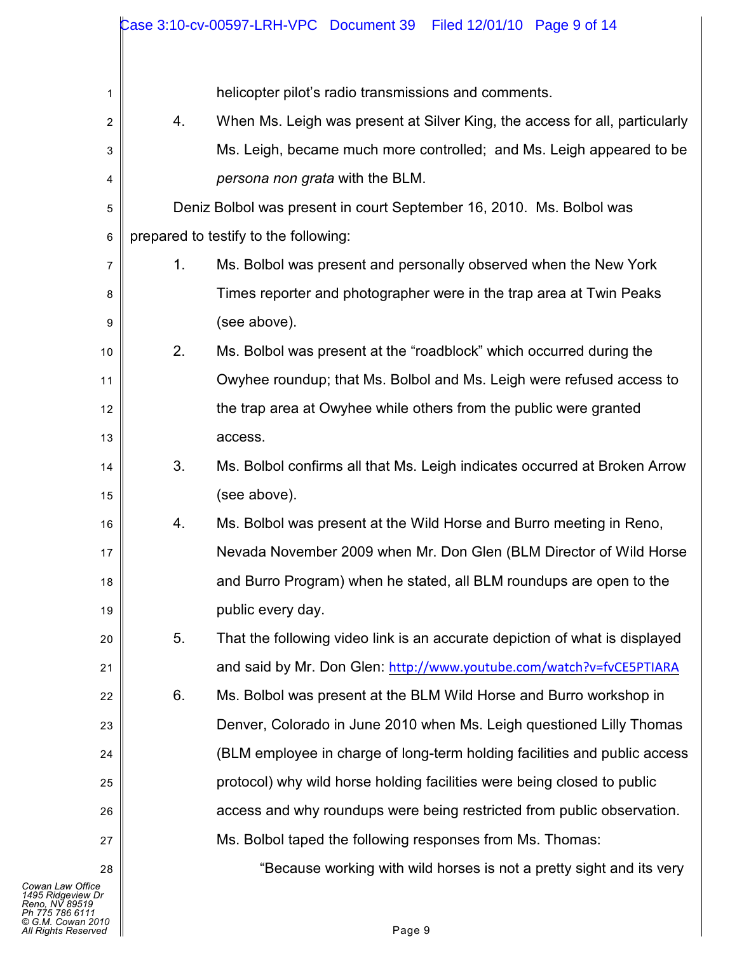|    |                                                                      | Case 3:10-cv-00597-LRH-VPC Document 39    Filed 12/01/10    Page 9 of 14    |  |  |  |  |  |  |
|----|----------------------------------------------------------------------|-----------------------------------------------------------------------------|--|--|--|--|--|--|
|    |                                                                      |                                                                             |  |  |  |  |  |  |
| 1  |                                                                      | helicopter pilot's radio transmissions and comments.                        |  |  |  |  |  |  |
| 2  | 4.                                                                   | When Ms. Leigh was present at Silver King, the access for all, particularly |  |  |  |  |  |  |
| 3  | Ms. Leigh, became much more controlled; and Ms. Leigh appeared to be |                                                                             |  |  |  |  |  |  |
| 4  | persona non grata with the BLM.                                      |                                                                             |  |  |  |  |  |  |
| 5  |                                                                      | Deniz Bolbol was present in court September 16, 2010. Ms. Bolbol was        |  |  |  |  |  |  |
| 6  |                                                                      | prepared to testify to the following:                                       |  |  |  |  |  |  |
| 7  | 1.                                                                   | Ms. Bolbol was present and personally observed when the New York            |  |  |  |  |  |  |
| 8  |                                                                      | Times reporter and photographer were in the trap area at Twin Peaks         |  |  |  |  |  |  |
| 9  |                                                                      | (see above).                                                                |  |  |  |  |  |  |
| 10 | 2.                                                                   | Ms. Bolbol was present at the "roadblock" which occurred during the         |  |  |  |  |  |  |
| 11 |                                                                      | Owyhee roundup; that Ms. Bolbol and Ms. Leigh were refused access to        |  |  |  |  |  |  |
| 12 | the trap area at Owyhee while others from the public were granted    |                                                                             |  |  |  |  |  |  |
| 13 |                                                                      | access.                                                                     |  |  |  |  |  |  |
| 14 | 3.                                                                   | Ms. Bolbol confirms all that Ms. Leigh indicates occurred at Broken Arrow   |  |  |  |  |  |  |
| 15 |                                                                      | (see above).                                                                |  |  |  |  |  |  |
| 16 | 4.                                                                   | Ms. Bolbol was present at the Wild Horse and Burro meeting in Reno,         |  |  |  |  |  |  |
| 17 |                                                                      | Nevada November 2009 when Mr. Don Glen (BLM Director of Wild Horse          |  |  |  |  |  |  |
| 18 |                                                                      | and Burro Program) when he stated, all BLM roundups are open to the         |  |  |  |  |  |  |
| 19 |                                                                      | public every day.                                                           |  |  |  |  |  |  |
| 20 | 5.                                                                   | That the following video link is an accurate depiction of what is displayed |  |  |  |  |  |  |
| 21 |                                                                      | and said by Mr. Don Glen: http://www.youtube.com/watch?v=fvCE5PTIARA        |  |  |  |  |  |  |
| 22 | 6.                                                                   | Ms. Bolbol was present at the BLM Wild Horse and Burro workshop in          |  |  |  |  |  |  |
| 23 |                                                                      | Denver, Colorado in June 2010 when Ms. Leigh questioned Lilly Thomas        |  |  |  |  |  |  |
| 24 |                                                                      | (BLM employee in charge of long-term holding facilities and public access   |  |  |  |  |  |  |
| 25 |                                                                      | protocol) why wild horse holding facilities were being closed to public     |  |  |  |  |  |  |
| 26 |                                                                      | access and why roundups were being restricted from public observation.      |  |  |  |  |  |  |
| 27 |                                                                      | Ms. Bolbol taped the following responses from Ms. Thomas:                   |  |  |  |  |  |  |
| 28 |                                                                      | "Because working with wild horses is not a pretty sight and its very        |  |  |  |  |  |  |
| сe |                                                                      |                                                                             |  |  |  |  |  |  |

*Cowan Law Office*<br>1495 Ridgeview Dr<br>Reno, NV 89519<br>Ph 775 786 6111<br>All Rights Reserved ■<br>All Rights Reserved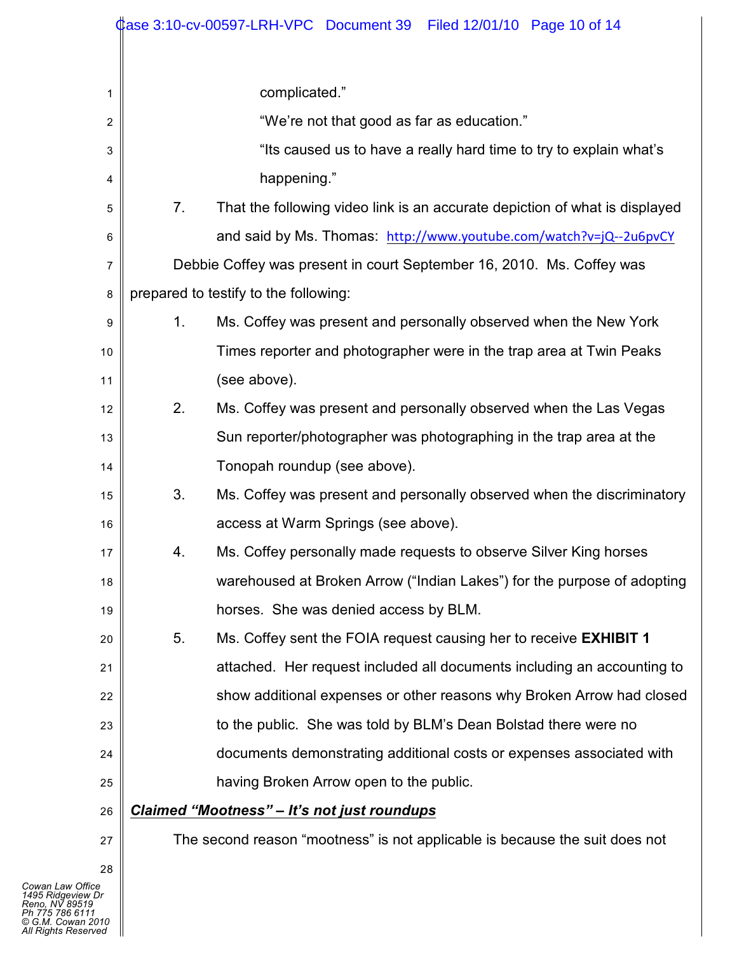|    |                                            | Case 3:10-cv-00597-LRH-VPC Document 39 Filed 12/01/10 Page 10 of 14         |  |  |  |  |
|----|--------------------------------------------|-----------------------------------------------------------------------------|--|--|--|--|
|    |                                            |                                                                             |  |  |  |  |
| 1  |                                            | complicated."                                                               |  |  |  |  |
| 2  | "We're not that good as far as education." |                                                                             |  |  |  |  |
| 3  |                                            | "Its caused us to have a really hard time to try to explain what's          |  |  |  |  |
| 4  |                                            | happening."                                                                 |  |  |  |  |
| 5  | 7.                                         | That the following video link is an accurate depiction of what is displayed |  |  |  |  |
| 6  |                                            | and said by Ms. Thomas: http://www.youtube.com/watch?v=jQ--2u6pvCY          |  |  |  |  |
| 7  |                                            | Debbie Coffey was present in court September 16, 2010. Ms. Coffey was       |  |  |  |  |
| 8  |                                            | prepared to testify to the following:                                       |  |  |  |  |
| 9  | 1.                                         | Ms. Coffey was present and personally observed when the New York            |  |  |  |  |
| 10 |                                            | Times reporter and photographer were in the trap area at Twin Peaks         |  |  |  |  |
| 11 |                                            | (see above).                                                                |  |  |  |  |
| 12 | 2.                                         | Ms. Coffey was present and personally observed when the Las Vegas           |  |  |  |  |
| 13 |                                            | Sun reporter/photographer was photographing in the trap area at the         |  |  |  |  |
| 14 |                                            | Tonopah roundup (see above).                                                |  |  |  |  |
| 15 | 3.                                         | Ms. Coffey was present and personally observed when the discriminatory      |  |  |  |  |
| 16 |                                            | access at Warm Springs (see above).                                         |  |  |  |  |
| 17 | 4.                                         | Ms. Coffey personally made requests to observe Silver King horses           |  |  |  |  |
| 18 |                                            | warehoused at Broken Arrow ("Indian Lakes") for the purpose of adopting     |  |  |  |  |
| 19 |                                            | horses. She was denied access by BLM.                                       |  |  |  |  |
| 20 | 5.                                         | Ms. Coffey sent the FOIA request causing her to receive <b>EXHIBIT 1</b>    |  |  |  |  |
| 21 |                                            | attached. Her request included all documents including an accounting to     |  |  |  |  |
| 22 |                                            | show additional expenses or other reasons why Broken Arrow had closed       |  |  |  |  |
| 23 |                                            | to the public. She was told by BLM's Dean Bolstad there were no             |  |  |  |  |
| 24 |                                            | documents demonstrating additional costs or expenses associated with        |  |  |  |  |
| 25 |                                            | having Broken Arrow open to the public.                                     |  |  |  |  |
| 26 |                                            | <b>Claimed "Mootness" - It's not just roundups</b>                          |  |  |  |  |
| 27 |                                            | The second reason "mootness" is not applicable is because the suit does not |  |  |  |  |
| 28 |                                            |                                                                             |  |  |  |  |

 $\mathbf l$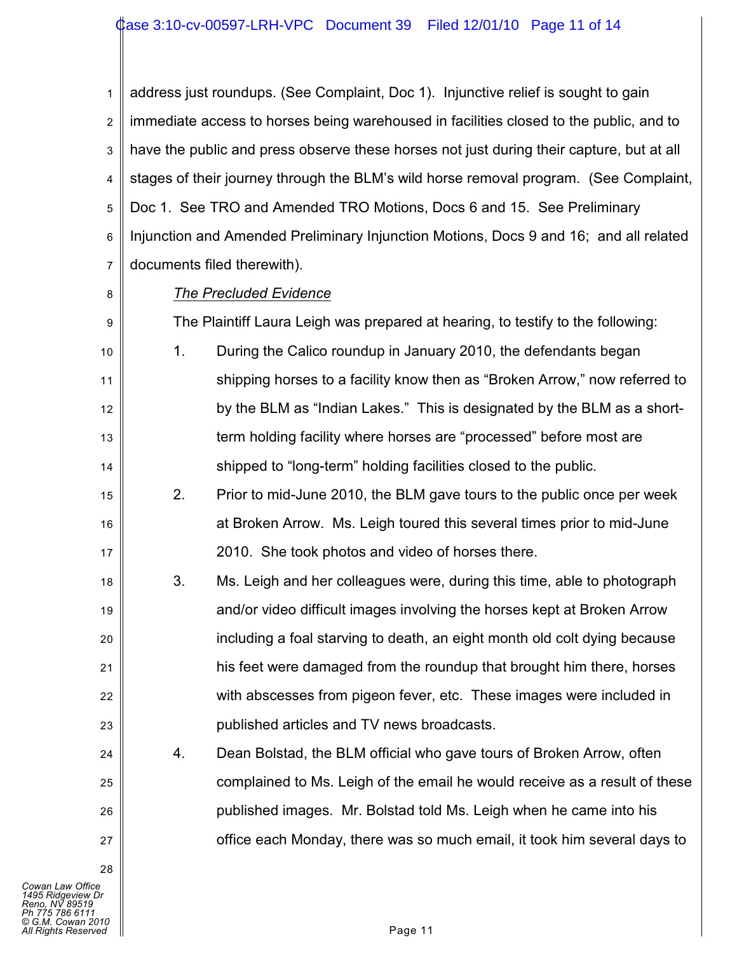1 2 3 4 5 6 7 address just roundups. (See Complaint, Doc 1). Injunctive relief is sought to gain immediate access to horses being warehoused in facilities closed to the public, and to have the public and press observe these horses not just during their capture, but at all stages of their journey through the BLM's wild horse removal program. (See Complaint, Doc 1. See TRO and Amended TRO Motions, Docs 6 and 15. See Preliminary Injunction and Amended Preliminary Injunction Motions, Docs 9 and 16; and all related documents filed therewith).

8

9

18

19

20

21

22

23

24

25

26

27

28

## *The Precluded Evidence*

The Plaintiff Laura Leigh was prepared at hearing, to testify to the following:

- 10 11 12 13 14 1. During the Calico roundup in January 2010, the defendants began shipping horses to a facility know then as "Broken Arrow," now referred to by the BLM as "Indian Lakes." This is designated by the BLM as a shortterm holding facility where horses are "processed" before most are shipped to "long-term" holding facilities closed to the public.
- 15 16 17 2. Prior to mid-June 2010, the BLM gave tours to the public once per week at Broken Arrow. Ms. Leigh toured this several times prior to mid-June 2010. She took photos and video of horses there.
	- 3. Ms. Leigh and her colleagues were, during this time, able to photograph and/or video difficult images involving the horses kept at Broken Arrow including a foal starving to death, an eight month old colt dying because his feet were damaged from the roundup that brought him there, horses with abscesses from pigeon fever, etc. These images were included in published articles and TV news broadcasts.
		- 4. Dean Bolstad, the BLM official who gave tours of Broken Arrow, often complained to Ms. Leigh of the email he would receive as a result of these published images. Mr. Bolstad told Ms. Leigh when he came into his office each Monday, there was so much email, it took him several days to

*Cowan Law Office 1495 Ridgeview Dr Reno, NV 89519 Ph 775 786 6111 © G.M. Cowan 2010 All Rights Reserved* Page 11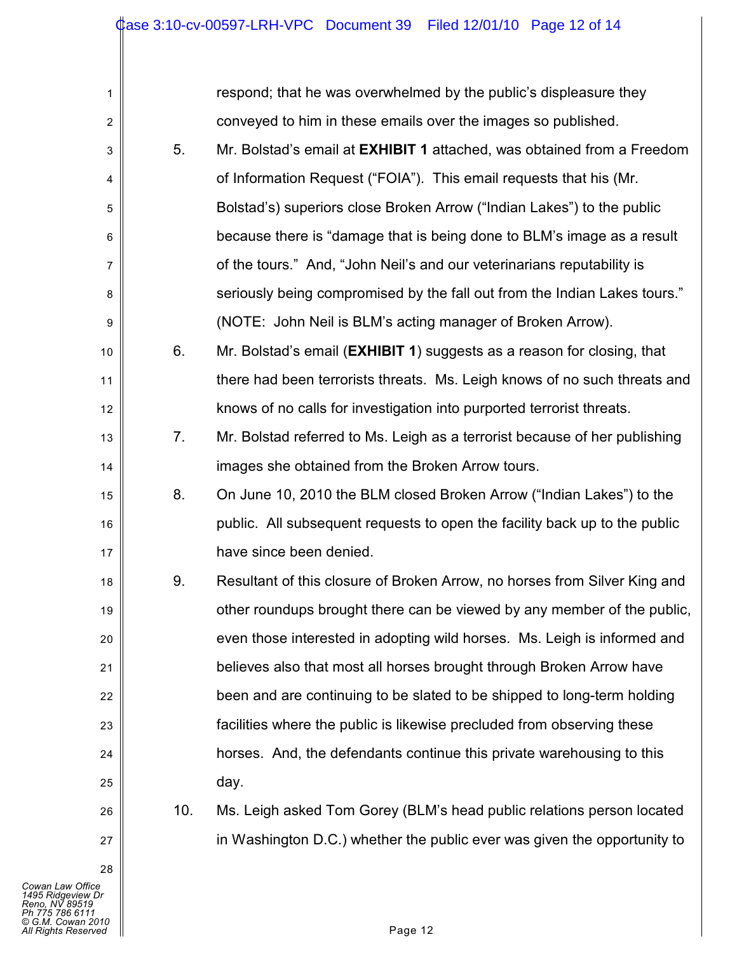| $\mathbf{1}$   |     | respond; that he was overwhelmed by the public's displeasure they          |
|----------------|-----|----------------------------------------------------------------------------|
| $\overline{c}$ |     | conveyed to him in these emails over the images so published.              |
| 3              | 5.  | Mr. Bolstad's email at EXHIBIT 1 attached, was obtained from a Freedom     |
| 4              |     | of Information Request ("FOIA"). This email requests that his (Mr.         |
| 5              |     | Bolstad's) superiors close Broken Arrow ("Indian Lakes") to the public     |
| 6              |     | because there is "damage that is being done to BLM's image as a result     |
| 7              |     | of the tours." And, "John Neil's and our veterinarians reputability is     |
| 8              |     | seriously being compromised by the fall out from the Indian Lakes tours."  |
| 9              |     | (NOTE: John Neil is BLM's acting manager of Broken Arrow).                 |
| 10             | 6.  | Mr. Bolstad's email (EXHIBIT 1) suggests as a reason for closing, that     |
| 11             |     | there had been terrorists threats. Ms. Leigh knows of no such threats and  |
| 12             |     | knows of no calls for investigation into purported terrorist threats.      |
| 13             | 7.  | Mr. Bolstad referred to Ms. Leigh as a terrorist because of her publishing |
| 14             |     | images she obtained from the Broken Arrow tours.                           |
| 15             | 8.  | On June 10, 2010 the BLM closed Broken Arrow ("Indian Lakes") to the       |
| 16             |     | public. All subsequent requests to open the facility back up to the public |
| 17             |     | have since been denied.                                                    |
| 18             | 9.  | Resultant of this closure of Broken Arrow, no horses from Silver King and  |
| 19             |     | other roundups brought there can be viewed by any member of the public,    |
| 20             |     | even those interested in adopting wild horses. Ms. Leigh is informed and   |
| 21             |     | believes also that most all horses brought through Broken Arrow have       |
| 22             |     | been and are continuing to be slated to be shipped to long-term holding    |
| 23             |     | facilities where the public is likewise precluded from observing these     |
| 24             |     | horses. And, the defendants continue this private warehousing to this      |
| 25             |     | day.                                                                       |
| 26             | 10. | Ms. Leigh asked Tom Gorey (BLM's head public relations person located      |
| 27             |     | in Washington D.C.) whether the public ever was given the opportunity to   |
| 28             |     |                                                                            |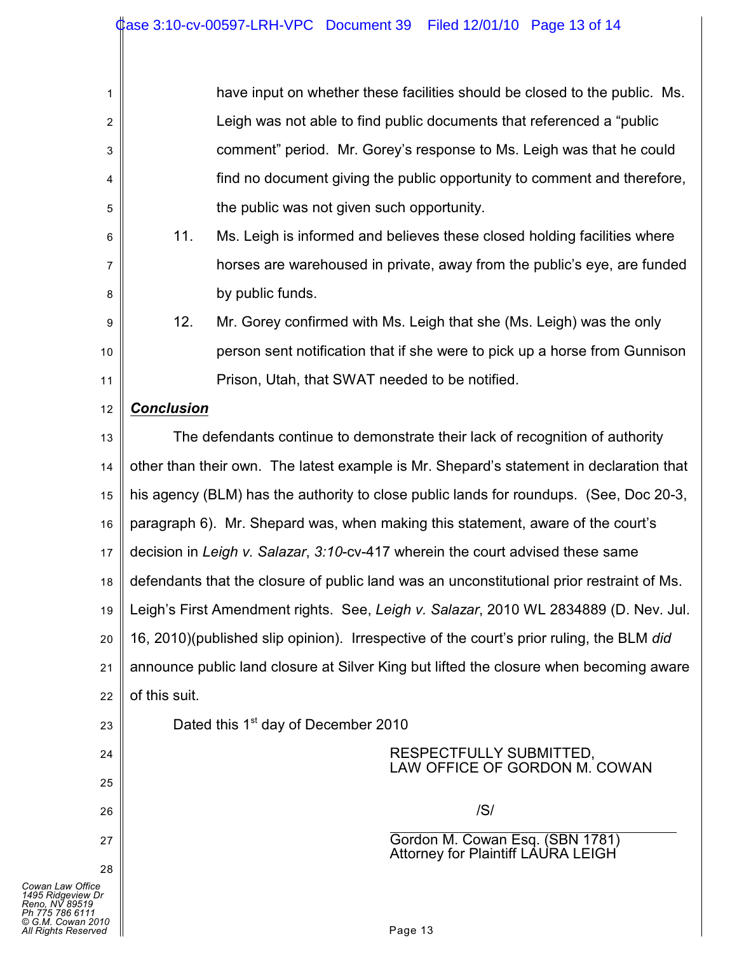| 1              | have input on whether these facilities should be closed to the public. Ms.                |                                                                      |  |  |  |  |  |
|----------------|-------------------------------------------------------------------------------------------|----------------------------------------------------------------------|--|--|--|--|--|
| $\overline{2}$ | Leigh was not able to find public documents that referenced a "public"                    |                                                                      |  |  |  |  |  |
| 3              | comment" period. Mr. Gorey's response to Ms. Leigh was that he could                      |                                                                      |  |  |  |  |  |
| 4              | find no document giving the public opportunity to comment and therefore,                  |                                                                      |  |  |  |  |  |
| 5              | the public was not given such opportunity.                                                |                                                                      |  |  |  |  |  |
| 6              | 11.<br>Ms. Leigh is informed and believes these closed holding facilities where           |                                                                      |  |  |  |  |  |
| 7              | horses are warehoused in private, away from the public's eye, are funded                  |                                                                      |  |  |  |  |  |
| 8              | by public funds.                                                                          |                                                                      |  |  |  |  |  |
| 9              | 12.                                                                                       | Mr. Gorey confirmed with Ms. Leigh that she (Ms. Leigh) was the only |  |  |  |  |  |
| 10             | person sent notification that if she were to pick up a horse from Gunnison                |                                                                      |  |  |  |  |  |
| 11             | Prison, Utah, that SWAT needed to be notified.                                            |                                                                      |  |  |  |  |  |
| 12             | <b>Conclusion</b>                                                                         |                                                                      |  |  |  |  |  |
| 13             | The defendants continue to demonstrate their lack of recognition of authority             |                                                                      |  |  |  |  |  |
| 14             | other than their own. The latest example is Mr. Shepard's statement in declaration that   |                                                                      |  |  |  |  |  |
| 15             | his agency (BLM) has the authority to close public lands for roundups. (See, Doc 20-3,    |                                                                      |  |  |  |  |  |
| 16             | paragraph 6). Mr. Shepard was, when making this statement, aware of the court's           |                                                                      |  |  |  |  |  |
| 17             | decision in Leigh v. Salazar, 3:10-cv-417 wherein the court advised these same            |                                                                      |  |  |  |  |  |
| 18             | defendants that the closure of public land was an unconstitutional prior restraint of Ms. |                                                                      |  |  |  |  |  |
| 19             | Leigh's First Amendment rights. See, Leigh v. Salazar, 2010 WL 2834889 (D. Nev. Jul.      |                                                                      |  |  |  |  |  |
| 20             | 16, 2010)(published slip opinion). Irrespective of the court's prior ruling, the BLM did  |                                                                      |  |  |  |  |  |
| 21             | announce public land closure at Silver King but lifted the closure when becoming aware    |                                                                      |  |  |  |  |  |
| 22             | of this suit.                                                                             |                                                                      |  |  |  |  |  |
| 23             |                                                                                           | Dated this 1 <sup>st</sup> day of December 2010                      |  |  |  |  |  |
| 24             |                                                                                           | RESPECTFULLY SUBMITTED,<br>LAW OFFICE OF GORDON M. COWAN             |  |  |  |  |  |
| 25             |                                                                                           |                                                                      |  |  |  |  |  |
| 26             |                                                                                           | /S/                                                                  |  |  |  |  |  |
| 27             | Gordon M. Cowan Esq. (SBN 1781)<br><b>Attorney for Plaintiff LAURA LEIGH</b>              |                                                                      |  |  |  |  |  |
| 28             |                                                                                           |                                                                      |  |  |  |  |  |